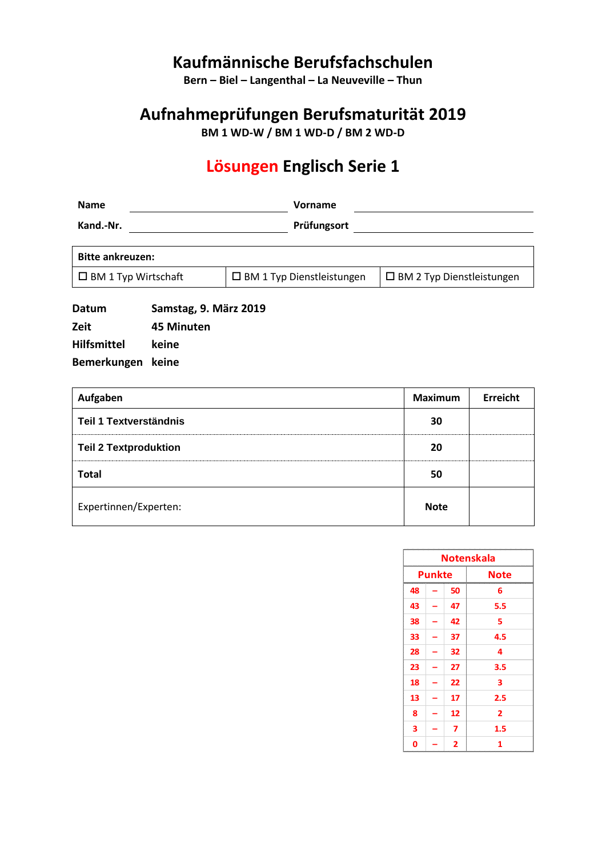# **Kaufmännische Berufsfachschulen**

**Bern – Biel – Langenthal – La Neuveville – Thun**

# **Aufnahmeprüfungen Berufsmaturität 2019**

**BM 1 WD-W / BM 1 WD-D / BM 2 WD-D**

# **Lösungen Englisch Serie 1**

| <b>Name</b>                | Vorname                          |                                     |  |
|----------------------------|----------------------------------|-------------------------------------|--|
| Kand.-Nr.                  | Prüfungsort                      |                                     |  |
|                            |                                  |                                     |  |
| <b>Bitte ankreuzen:</b>    |                                  |                                     |  |
| $\Box$ BM 1 Typ Wirtschaft | $\Box$ BM 1 Typ Dienstleistungen | $\square$ BM 2 Typ Dienstleistungen |  |
|                            |                                  |                                     |  |

**Datum Samstag, 9. März 2019 Zeit 45 Minuten Hilfsmittel keine Bemerkungen keine**

| Aufgaben                      | <b>Maximum</b> | Erreicht |
|-------------------------------|----------------|----------|
| <b>Teil 1 Textverständnis</b> | 30             |          |
| <b>Teil 2 Textproduktion</b>  | 20             |          |
| <b>Total</b>                  | 50             |          |
| Expertinnen/Experten:         | <b>Note</b>    |          |

| <b>Notenskala</b> |                       |    |                                        |
|-------------------|-----------------------|----|----------------------------------------|
|                   | <b>Punkte</b><br>Note |    |                                        |
| 48                |                       | 50 | 6                                      |
| 43                |                       | 47 | 5.5                                    |
| 38                |                       | 42 | 5                                      |
| 33                |                       | 37 | 4.5                                    |
| 28                |                       | 32 | 4                                      |
| 23                |                       | 27 | 3.5                                    |
| 18                |                       | 22 | 3                                      |
| 13                |                       | 17 | 2.5                                    |
| 8                 |                       | 12 | 2                                      |
| 3                 |                       | 7  | 1.5                                    |
| 0                 |                       | 2  | <b>Management of the American</b><br>1 |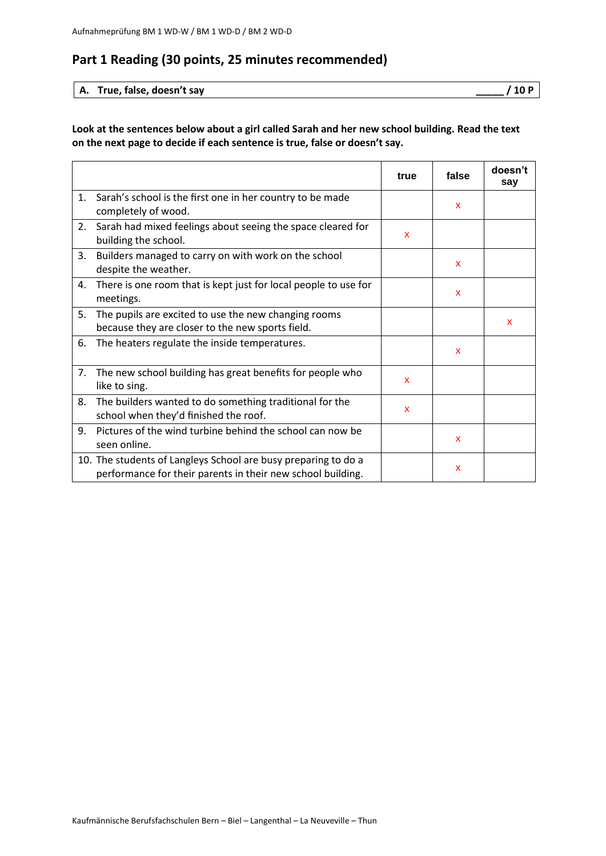## **Part 1 Reading (30 points, 25 minutes recommended)**

#### **A. True, false, doesn't say \_\_\_\_\_ / 10 P**

#### **Look at the sentences below about a girl called Sarah and her new school building. Read the text on the next page to decide if each sentence is true, false or doesn't say.**

|    |                                                                                                                               | true | false        | doesn't<br>say |
|----|-------------------------------------------------------------------------------------------------------------------------------|------|--------------|----------------|
| 1. | Sarah's school is the first one in her country to be made<br>completely of wood.                                              |      | x            |                |
| 2. | Sarah had mixed feelings about seeing the space cleared for<br>building the school.                                           | x    |              |                |
| 3. | Builders managed to carry on with work on the school<br>despite the weather.                                                  |      | X            |                |
| 4. | There is one room that is kept just for local people to use for<br>meetings.                                                  |      | $\mathbf{x}$ |                |
| 5. | The pupils are excited to use the new changing rooms<br>because they are closer to the new sports field.                      |      |              | $\mathbf{x}$   |
| 6. | The heaters regulate the inside temperatures.                                                                                 |      | X            |                |
| 7. | The new school building has great benefits for people who<br>like to sing.                                                    | X    |              |                |
| 8. | The builders wanted to do something traditional for the<br>school when they'd finished the roof.                              | X    |              |                |
| 9. | Pictures of the wind turbine behind the school can now be<br>seen online.                                                     |      | x            |                |
|    | 10. The students of Langleys School are busy preparing to do a<br>performance for their parents in their new school building. |      | x            |                |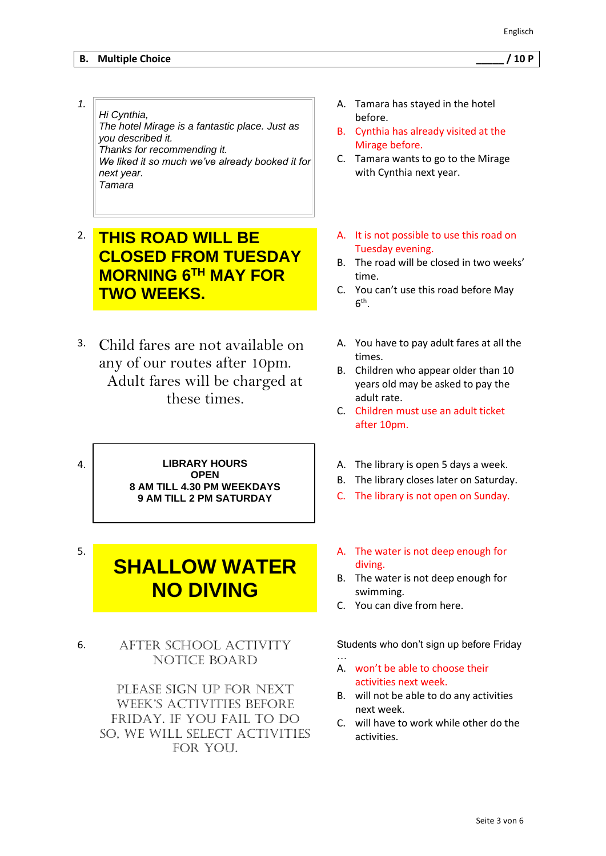#### **B. Multiple Choice \_\_\_\_\_ / 10 P**

- *1. Hi Cynthia, The hotel Mirage is a fantastic place. Just as you described it. Thanks for recommending it. We liked it so much we've already booked it for next year. Tamara*
- 2. **THIS ROAD WILL BE CLOSED FROM TUESDAY MORNING 6TH MAY FOR TWO WEEKS.**
- 3. Child fares are not available on any of our routes after 10pm. Adult fares will be charged at these times.

4. **LIBRARY HOURS OPEN 8 AM TILL 4.30 PM WEEKDAYS 9 AM TILL 2 PM SATURDAY**

# **SHALLOW WATER NO DIVING**

5.

6. After School Activity Notice Board

> Please sign up for next week's activities before Friday. If you fail to do so, we will select activities FOR YOU.

- A. Tamara has stayed in the hotel before.
- B. Cynthia has already visited at the Mirage before.
- C. Tamara wants to go to the Mirage with Cynthia next year.
- A. It is not possible to use this road on Tuesday evening.
- B. The road will be closed in two weeks' time.
- C. You can't use this road before May  $6^{\text{th}}$ .
- A. You have to pay adult fares at all the times.
- B. Children who appear older than 10 years old may be asked to pay the adult rate.
- C. Children must use an adult ticket after 10pm.
- A. The library is open 5 days a week.
- B. The library closes later on Saturday.
- C. The library is not open on Sunday.
- A. The water is not deep enough for diving.
- B. The water is not deep enough for swimming.
- C. You can dive from here.

…

Students who don't sign up before Friday

- A. won't be able to choose their activities next week.
- B. will not be able to do any activities next week.
- C. will have to work while other do the activities.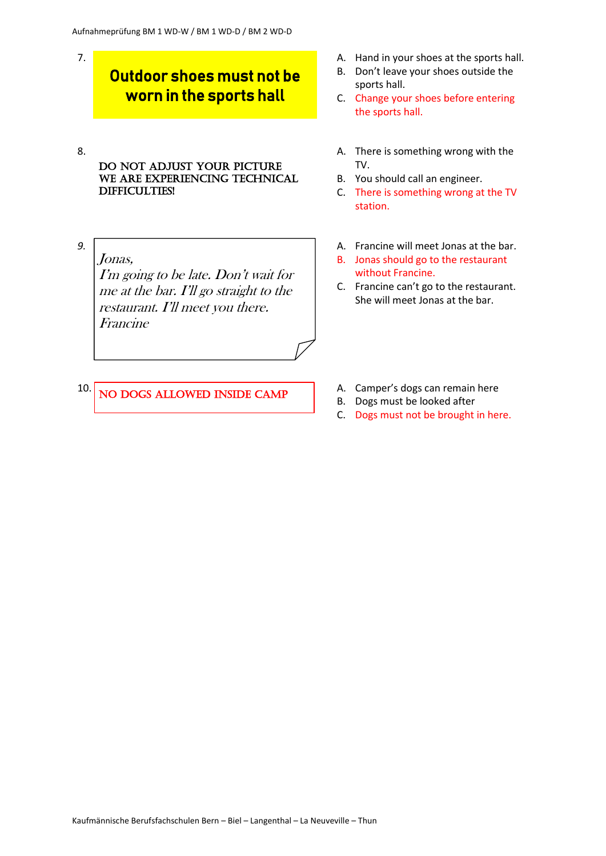# Outdoor shoes must not be worn in the sports hall

- DO NOT ADJUST YOUR PICTURE WE ARE EXPERIENCING TECHNICAL difficulties!
- *9.*

7.

8.

Jonas, I'm going to be late. Don't wait for me at the bar. I'll go straight to the restaurant. I'll meet you there. Francine

- A. Hand in your shoes at the sports hall.
- B. Don't leave your shoes outside the sports hall.
- C. Change your shoes before entering the sports hall.
- A. There is something wrong with the TV.
- B. You should call an engineer.
- C. There is something wrong at the TV station.
- A. Francine will meet Jonas at the bar.
- B. Jonas should go to the restaurant without Francine.
- C. Francine can't go to the restaurant. She will meet Jonas at the bar.

- 10. NO DOGS ALLOWED INSIDE CAMP
- A. Camper's dogs can remain here
- B. Dogs must be looked after
- C. Dogs must not be brought in here.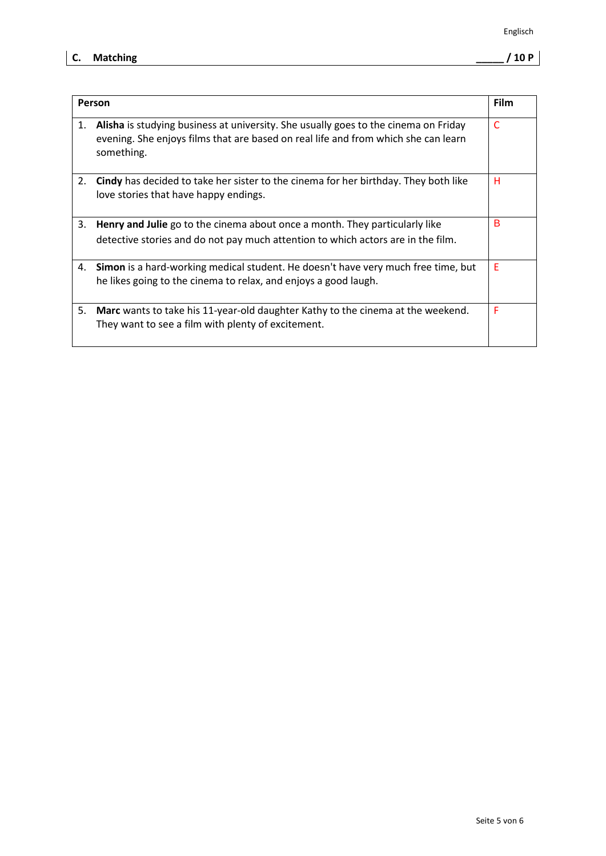### **C. Matching \_\_\_\_\_ / 10 P**

|    | Person                                                                                                                                                                                  | <b>Film</b> |
|----|-----------------------------------------------------------------------------------------------------------------------------------------------------------------------------------------|-------------|
| 1. | Alisha is studying business at university. She usually goes to the cinema on Friday<br>evening. She enjoys films that are based on real life and from which she can learn<br>something. | C           |
| 2. | Cindy has decided to take her sister to the cinema for her birthday. They both like<br>love stories that have happy endings.                                                            | н           |
| 3. | <b>Henry and Julie</b> go to the cinema about once a month. They particularly like                                                                                                      | в           |
|    | detective stories and do not pay much attention to which actors are in the film.                                                                                                        |             |
| 4. | <b>Simon</b> is a hard-working medical student. He doesn't have very much free time, but<br>he likes going to the cinema to relax, and enjoys a good laugh.                             | E           |
| 5. | <b>Marc</b> wants to take his 11-year-old daughter Kathy to the cinema at the weekend.<br>They want to see a film with plenty of excitement.                                            | F           |